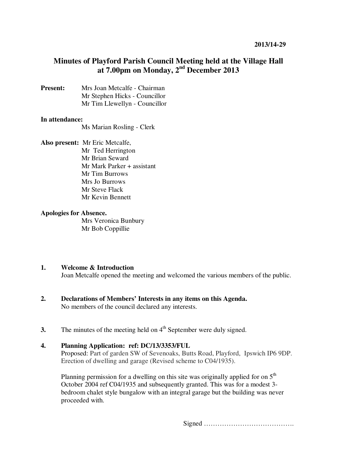## **Minutes of Playford Parish Council Meeting held at the Village Hall at 7.00pm on Monday, 2nd December 2013**

**Present:** Mrs Joan Metcalfe - Chairman Mr Stephen Hicks - Councillor Mr Tim Llewellyn - Councillor

#### **In attendance:**

Ms Marian Rosling - Clerk

**Also present:** Mr Eric Metcalfe, Mr Ted Herrington Mr Brian Seward Mr Mark Parker + assistant Mr Tim Burrows Mrs Jo Burrows Mr Steve Flack Mr Kevin Bennett

#### **Apologies for Absence.**

Mrs Veronica Bunbury Mr Bob Coppillie

#### **1. Welcome & Introduction**

Joan Metcalfe opened the meeting and welcomed the various members of the public.

- **2. Declarations of Members' Interests in any items on this Agenda.**  No members of the council declared any interests.
- **3.** The minutes of the meeting held on  $4<sup>th</sup>$  September were duly signed.

## **4. Planning Application: ref: DC/13/3353/FUL**

Proposed: Part of garden SW of Sevenoaks, Butts Road, Playford, Ipswich IP6 9DP. Erection of dwelling and garage (Revised scheme to C04/1935).

Planning permission for a dwelling on this site was originally applied for on  $5<sup>th</sup>$ October 2004 ref C04/1935 and subsequently granted. This was for a modest 3 bedroom chalet style bungalow with an integral garage but the building was never proceeded with.

Signed ………………………………….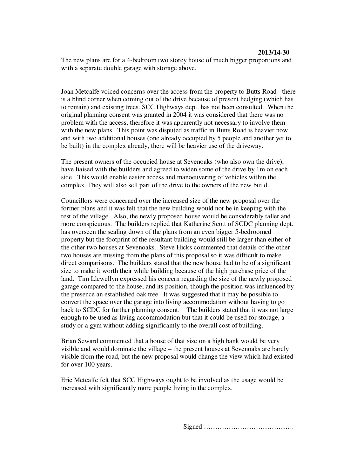The new plans are for a 4-bedroom two storey house of much bigger proportions and with a separate double garage with storage above.

Joan Metcalfe voiced concerns over the access from the property to Butts Road - there is a blind corner when coming out of the drive because of present hedging (which has to remain) and existing trees. SCC Highways dept. has not been consulted. When the original planning consent was granted in 2004 it was considered that there was no problem with the access, therefore it was apparently not necessary to involve them with the new plans. This point was disputed as traffic in Butts Road is heavier now and with two additional houses (one already occupied by 5 people and another yet to be built) in the complex already, there will be heavier use of the driveway.

The present owners of the occupied house at Sevenoaks (who also own the drive), have liaised with the builders and agreed to widen some of the drive by 1m on each side. This would enable easier access and manoeuvering of vehicles within the complex. They will also sell part of the drive to the owners of the new build.

Councillors were concerned over the increased size of the new proposal over the former plans and it was felt that the new building would not be in keeping with the rest of the village. Also, the newly proposed house would be considerably taller and more conspicuous. The builders replied that Katherine Scott of SCDC planning dept. has overseen the scaling down of the plans from an even bigger 5-bedroomed property but the footprint of the resultant building would still be larger than either of the other two houses at Sevenoaks. Steve Hicks commented that details of the other two houses are missing from the plans of this proposal so it was difficult to make direct comparisons. The builders stated that the new house had to be of a significant size to make it worth their while building because of the high purchase price of the land. Tim Llewellyn expressed his concern regarding the size of the newly proposed garage compared to the house, and its position, though the position was influenced by the presence an established oak tree. It was suggested that it may be possible to convert the space over the garage into living accommodation without having to go back to SCDC for further planning consent. The builders stated that it was not large enough to be used as living accommodation but that it could be used for storage, a study or a gym without adding significantly to the overall cost of building.

Brian Seward commented that a house of that size on a high bank would be very visible and would dominate the village – the present houses at Sevenoaks are barely visible from the road, but the new proposal would change the view which had existed for over 100 years.

Eric Metcalfe felt that SCC Highways ought to be involved as the usage would be increased with significantly more people living in the complex.

Signed ………………………………….